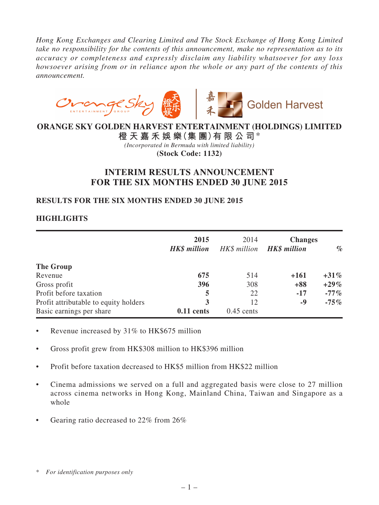*Hong Kong Exchanges and Clearing Limited and The Stock Exchange of Hong Kong Limited take no responsibility for the contents of this announcement, make no representation as to its accuracy or completeness and expressly disclaim any liability whatsoever for any loss howsoever arising from or in reliance upon the whole or any part of the contents of this announcement.*



# **ORANGE SKY GOLDEN HARVEST ENTERTAINMENT (HOLDINGS) LIMITED**

**橙 天 嘉 禾 娛 樂(集 團)有 限 公 司**\* *(Incorporated in Bermuda with limited liability)* **(Stock Code: 1132)**

# **INTERIM RESULTS ANNOUNCEMENT FOR THE SIX MONTHS ENDED 30 JUNE 2015**

# **RESULTS FOR THE SIX MONTHS ENDED 30 JUNE 2015**

# **HIGHLIGHTS**

|                                       | 2015<br><b>HK\$</b> million | 2014<br>HK\$ million | <b>Changes</b><br><b>HK\$</b> million | $\%$    |
|---------------------------------------|-----------------------------|----------------------|---------------------------------------|---------|
| The Group                             |                             |                      |                                       |         |
| Revenue                               | 675                         | 514                  | $+161$                                | $+31\%$ |
| Gross profit                          | 396                         | 308                  | $+88$                                 | $+29\%$ |
| Profit before taxation                | 5                           | 22                   | $-17$                                 | $-77\%$ |
| Profit attributable to equity holders | 3                           | 12                   | -9                                    | $-75\%$ |
| Basic earnings per share              | $0.11$ cents                | $0.45$ cents         |                                       |         |

- Revenue increased by 31% to HK\$675 million
- Gross profit grew from HK\$308 million to HK\$396 million
- Profit before taxation decreased to HK\$5 million from HK\$22 million
- Cinema admissions we served on a full and aggregated basis were close to 27 million across cinema networks in Hong Kong, Mainland China, Taiwan and Singapore as a whole
- Gearing ratio decreased to  $22\%$  from  $26\%$

<sup>\*</sup> *For identification purposes only*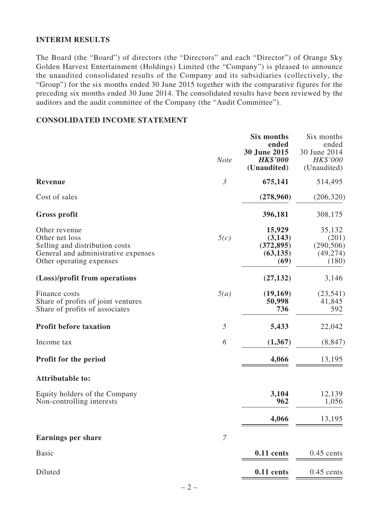## **INTERIM RESULTS**

The Board (the "Board") of directors (the "Directors" and each "Director") of Orange Sky Golden Harvest Entertainment (Holdings) Limited (the "Company") is pleased to announce the unaudited consolidated results of the Company and its subsidiaries (collectively, the "Group") for the six months ended 30 June 2015 together with the comparative figures for the preceding six months ended 30 June 2014. The consolidated results have been reviewed by the auditors and the audit committee of the Company (the "Audit Committee").

### **CONSOLIDATED INCOME STATEMENT**

|                                                                                                                                      | <b>Note</b>      | <b>Six months</b><br>ended<br>30 June 2015<br><b>HK\$'000</b><br>(Unaudited) | Six months<br>ended<br>30 June 2014<br>HK\$'000<br>(Unaudited) |
|--------------------------------------------------------------------------------------------------------------------------------------|------------------|------------------------------------------------------------------------------|----------------------------------------------------------------|
| <b>Revenue</b>                                                                                                                       | $\mathfrak{Z}$   | 675,141                                                                      | 514,495                                                        |
| Cost of sales                                                                                                                        |                  | (278,960)                                                                    | (206, 320)                                                     |
| <b>Gross profit</b>                                                                                                                  |                  | 396,181                                                                      | 308,175                                                        |
| Other revenue<br>Other net loss<br>Selling and distribution costs<br>General and administrative expenses<br>Other operating expenses | 5(c)             | 15,929<br>(3,143)<br>(372, 895)<br>(63, 135)<br>(69)                         | 35,132<br>(201)<br>(290, 506)<br>(49, 274)<br>(180)            |
| (Loss)/profit from operations                                                                                                        |                  | (27, 132)                                                                    | 3,146                                                          |
| Finance costs<br>Share of profits of joint ventures<br>Share of profits of associates                                                | 5(a)             | (19,169)<br>50,998<br>736                                                    | (23, 541)<br>41,845<br>592                                     |
| <b>Profit before taxation</b>                                                                                                        | 5                | 5,433                                                                        | 22,042                                                         |
| Income tax                                                                                                                           | 6                | (1,367)                                                                      | (8, 847)                                                       |
| <b>Profit for the period</b>                                                                                                         |                  | 4,066                                                                        | 13,195                                                         |
| <b>Attributable to:</b>                                                                                                              |                  |                                                                              |                                                                |
| Equity holders of the Company<br>Non-controlling interests                                                                           |                  | 3,104<br>962                                                                 | 12,139<br>1,056                                                |
|                                                                                                                                      |                  | 4,066                                                                        | 13,195                                                         |
| <b>Earnings per share</b>                                                                                                            | $\boldsymbol{7}$ |                                                                              |                                                                |
| <b>Basic</b>                                                                                                                         |                  | $0.11$ cents                                                                 | $0.45$ cents                                                   |
| Diluted                                                                                                                              |                  | $0.11$ cents                                                                 | $0.45$ cents                                                   |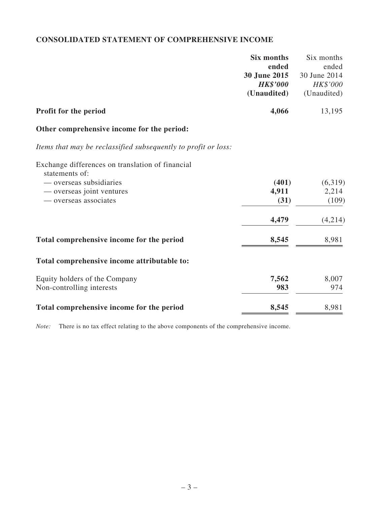# **CONSOLIDATED STATEMENT OF COMPREHENSIVE INCOME**

|                                                                | <b>Six months</b> | Six months   |
|----------------------------------------------------------------|-------------------|--------------|
|                                                                | ended             | ended        |
|                                                                | 30 June 2015      | 30 June 2014 |
|                                                                | <b>HK\$'000</b>   | HK\$'000     |
|                                                                | (Unaudited)       | (Unaudited)  |
| Profit for the period                                          | 4,066             | 13,195       |
| Other comprehensive income for the period:                     |                   |              |
| Items that may be reclassified subsequently to profit or loss: |                   |              |
| Exchange differences on translation of financial               |                   |              |
| statements of:                                                 |                   |              |
| — overseas subsidiaries                                        | (401)             | (6,319)      |
| — overseas joint ventures                                      | 4,911             | 2,214        |
| — overseas associates                                          | (31)              | (109)        |
|                                                                | 4,479             | (4,214)      |
| Total comprehensive income for the period                      | 8,545             | 8,981        |
| Total comprehensive income attributable to:                    |                   |              |
| Equity holders of the Company                                  | 7,562             | 8,007        |
| Non-controlling interests                                      | 983               | 974          |
| Total comprehensive income for the period                      | 8,545             | 8,981        |

*Note:* There is no tax effect relating to the above components of the comprehensive income.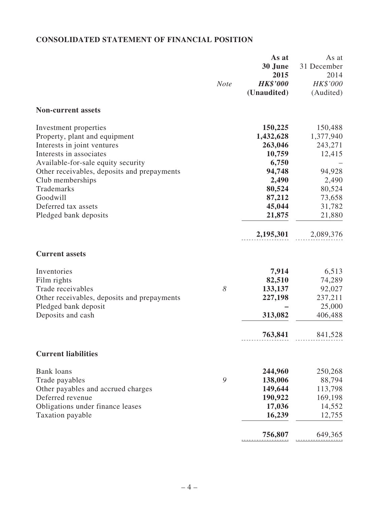# **CONSOLIDATED STATEMENT OF FINANCIAL POSITION**

|                                                                                                                                                                                                                                                                                                     | <b>Note</b> | As at<br>30 June<br>2015<br><b>HK\$'000</b><br>(Unaudited)                                                                 | As at<br>31 December<br>2014<br>HK\$'000<br>(Audited)                                                             |
|-----------------------------------------------------------------------------------------------------------------------------------------------------------------------------------------------------------------------------------------------------------------------------------------------------|-------------|----------------------------------------------------------------------------------------------------------------------------|-------------------------------------------------------------------------------------------------------------------|
| <b>Non-current assets</b>                                                                                                                                                                                                                                                                           |             |                                                                                                                            |                                                                                                                   |
| Investment properties<br>Property, plant and equipment<br>Interests in joint ventures<br>Interests in associates<br>Available-for-sale equity security<br>Other receivables, deposits and prepayments<br>Club memberships<br>Trademarks<br>Goodwill<br>Deferred tax assets<br>Pledged bank deposits |             | 150,225<br>1,432,628<br>263,046<br>10,759<br>6,750<br>94,748<br>2,490<br>80,524<br>87,212<br>45,044<br>21,875<br>2,195,301 | 150,488<br>1,377,940<br>243,271<br>12,415<br>94,928<br>2,490<br>80,524<br>73,658<br>31,782<br>21,880<br>2,089,376 |
| <b>Current assets</b>                                                                                                                                                                                                                                                                               |             |                                                                                                                            |                                                                                                                   |
| Inventories<br>Film rights<br>Trade receivables<br>Other receivables, deposits and prepayments<br>Pledged bank deposit<br>Deposits and cash                                                                                                                                                         | 8           | 7,914<br>82,510<br>133,137<br>227,198<br>313,082<br>763,841                                                                | 6,513<br>74,289<br>92,027<br>237,211<br>25,000<br>406,488<br>841,528                                              |
| <b>Current liabilities</b>                                                                                                                                                                                                                                                                          |             |                                                                                                                            |                                                                                                                   |
| <b>Bank</b> loans<br>Trade payables<br>Other payables and accrued charges<br>Deferred revenue<br>Obligations under finance leases<br>Taxation payable                                                                                                                                               | 9           | 244,960<br>138,006<br>149,644<br>190,922<br>17,036<br>16,239<br>756,807                                                    | 250,268<br>88,794<br>113,798<br>169,198<br>14,552<br>12,755<br>649,365                                            |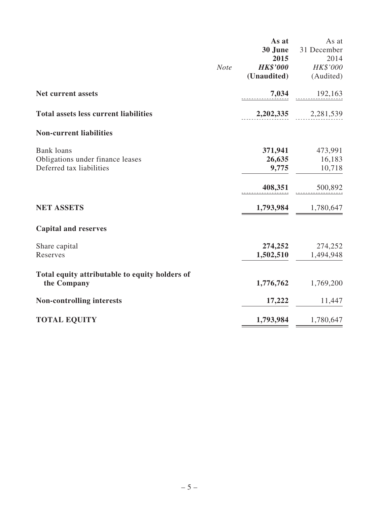|                                                |             | As at           | As at       |
|------------------------------------------------|-------------|-----------------|-------------|
|                                                |             | 30 June         | 31 December |
|                                                |             | 2015            | 2014        |
|                                                | <b>Note</b> | <b>HK\$'000</b> | HK\$'000    |
|                                                |             | (Unaudited)     | (Audited)   |
| <b>Net current assets</b>                      |             | 7,034           | 192,163     |
| <b>Total assets less current liabilities</b>   |             | 2,202,335       | 2,281,539   |
| <b>Non-current liabilities</b>                 |             |                 |             |
| <b>Bank</b> loans                              |             | 371,941         | 473,991     |
| Obligations under finance leases               |             | 26,635          | 16,183      |
| Deferred tax liabilities                       |             | 9,775           | 10,718      |
|                                                |             | 408,351         | 500,892     |
| <b>NET ASSETS</b>                              |             | 1,793,984       | 1,780,647   |
| <b>Capital and reserves</b>                    |             |                 |             |
| Share capital                                  |             | 274,252         | 274,252     |
| Reserves                                       |             | 1,502,510       | 1,494,948   |
| Total equity attributable to equity holders of |             |                 |             |
| the Company                                    |             | 1,776,762       | 1,769,200   |
| <b>Non-controlling interests</b>               |             | 17,222          | 11,447      |
| <b>TOTAL EQUITY</b>                            |             | 1,793,984       | 1,780,647   |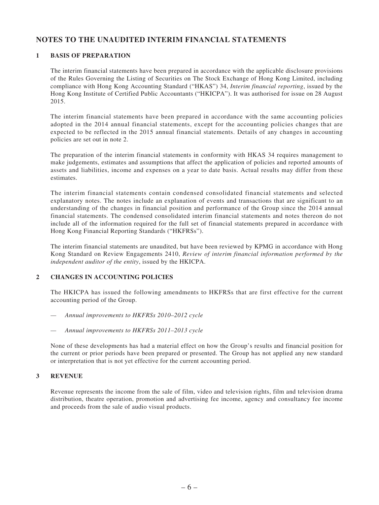# **NOTES TO THE UNAUDITED INTERIM FINANCIAL STATEMENTS**

### **1 BASIS OF PREPARATION**

The interim financial statements have been prepared in accordance with the applicable disclosure provisions of the Rules Governing the Listing of Securities on The Stock Exchange of Hong Kong Limited, including compliance with Hong Kong Accounting Standard ("HKAS") 34, *Interim financial reporting*, issued by the Hong Kong Institute of Certified Public Accountants ("HKICPA"). It was authorised for issue on 28 August 2015.

The interim financial statements have been prepared in accordance with the same accounting policies adopted in the 2014 annual financial statements, except for the accounting policies changes that are expected to be reflected in the 2015 annual financial statements. Details of any changes in accounting policies are set out in note 2.

The preparation of the interim financial statements in conformity with HKAS 34 requires management to make judgements, estimates and assumptions that affect the application of policies and reported amounts of assets and liabilities, income and expenses on a year to date basis. Actual results may differ from these estimates.

The interim financial statements contain condensed consolidated financial statements and selected explanatory notes. The notes include an explanation of events and transactions that are significant to an understanding of the changes in financial position and performance of the Group since the 2014 annual financial statements. The condensed consolidated interim financial statements and notes thereon do not include all of the information required for the full set of financial statements prepared in accordance with Hong Kong Financial Reporting Standards ("HKFRSs").

The interim financial statements are unaudited, but have been reviewed by KPMG in accordance with Hong Kong Standard on Review Engagements 2410, *Review of interim financial information performed by the independent auditor of the entity*, issued by the HKICPA.

### **2 CHANGES IN ACCOUNTING POLICIES**

The HKICPA has issued the following amendments to HKFRSs that are first effective for the current accounting period of the Group.

- *— Annual improvements to HKFRSs 2010–2012 cycle*
- *— Annual improvements to HKFRSs 2011–2013 cycle*

None of these developments has had a material effect on how the Group's results and financial position for the current or prior periods have been prepared or presented. The Group has not applied any new standard or interpretation that is not yet effective for the current accounting period.

### **3 REVENUE**

Revenue represents the income from the sale of film, video and television rights, film and television drama distribution, theatre operation, promotion and advertising fee income, agency and consultancy fee income and proceeds from the sale of audio visual products.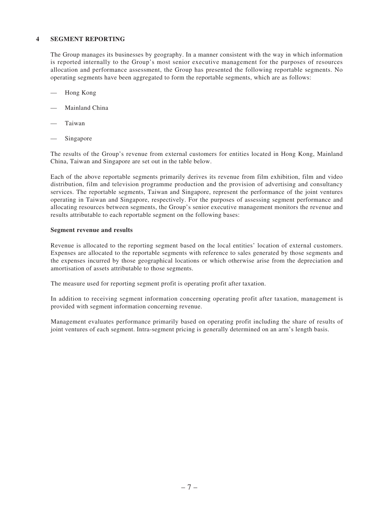#### **4 SEGMENT REPORTING**

The Group manages its businesses by geography. In a manner consistent with the way in which information is reported internally to the Group's most senior executive management for the purposes of resources allocation and performance assessment, the Group has presented the following reportable segments. No operating segments have been aggregated to form the reportable segments, which are as follows:

- Hong Kong
- Mainland China
- **Taiwan**
- Singapore

The results of the Group's revenue from external customers for entities located in Hong Kong, Mainland China, Taiwan and Singapore are set out in the table below.

Each of the above reportable segments primarily derives its revenue from film exhibition, film and video distribution, film and television programme production and the provision of advertising and consultancy services. The reportable segments, Taiwan and Singapore, represent the performance of the joint ventures operating in Taiwan and Singapore, respectively. For the purposes of assessing segment performance and allocating resources between segments, the Group's senior executive management monitors the revenue and results attributable to each reportable segment on the following bases:

#### **Segment revenue and results**

Revenue is allocated to the reporting segment based on the local entities' location of external customers. Expenses are allocated to the reportable segments with reference to sales generated by those segments and the expenses incurred by those geographical locations or which otherwise arise from the depreciation and amortisation of assets attributable to those segments.

The measure used for reporting segment profit is operating profit after taxation.

In addition to receiving segment information concerning operating profit after taxation, management is provided with segment information concerning revenue.

Management evaluates performance primarily based on operating profit including the share of results of joint ventures of each segment. Intra-segment pricing is generally determined on an arm's length basis.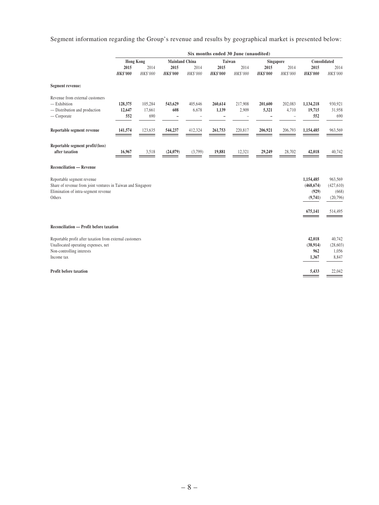Segment information regarding the Group's revenue and results by geographical market is presented below:

|                                                                                                                                              |                          |                          |                                  |                  |                         | Six months ended 30 June (unaudited) |                         |                  |                                             |                                            |
|----------------------------------------------------------------------------------------------------------------------------------------------|--------------------------|--------------------------|----------------------------------|------------------|-------------------------|--------------------------------------|-------------------------|------------------|---------------------------------------------|--------------------------------------------|
|                                                                                                                                              | <b>Hong Kong</b>         |                          | <b>Mainland China</b>            |                  | Taiwan                  |                                      | Singapore               |                  | Consolidated                                |                                            |
|                                                                                                                                              | 2015<br><b>HK\$'000</b>  | 2014<br>HK\$'000         | 2015<br><b>HK\$'000</b>          | 2014<br>HK\$'000 | 2015<br><b>HK\$'000</b> | 2014<br>HK\$'000                     | 2015<br><b>HK\$'000</b> | 2014<br>HK\$'000 | 2015<br><b>HK\$'000</b>                     | 2014<br>HK\$'000                           |
| Segment revenue:                                                                                                                             |                          |                          |                                  |                  |                         |                                      |                         |                  |                                             |                                            |
| Revenue from external customers<br>$-$ Exhibition<br>- Distribution and production<br>$-$ Corporate                                          | 128,375<br>12,647<br>552 | 105,284<br>17,661<br>690 | 543,629<br>608<br>$\overline{a}$ | 405,646<br>6,678 | 260,614<br>1,139        | 217,908<br>2,909                     | 201,600<br>5,321        | 202,083<br>4,710 | 1,134,218<br>19,715<br>552                  | 930,921<br>31,958<br>690                   |
| Reportable segment revenue                                                                                                                   | 141,574                  | 123,635                  | 544,237                          | 412,324          | 261,753                 | 220,817                              | 206,921                 | 206,793          | 1,154,485                                   | 963,569                                    |
| Reportable segment profit/(loss)<br>after taxation                                                                                           | 16,967                   | 3,518                    | (24,079)                         | (3,799)          | 19,881                  | 12,321                               | 29,249                  | 28,702           | 42,018                                      | 40,742                                     |
| <b>Reconciliation — Revenue</b>                                                                                                              |                          |                          |                                  |                  |                         |                                      |                         |                  |                                             |                                            |
| Reportable segment revenue<br>Share of revenue from joint ventures in Taiwan and Singapore<br>Elimination of intra-segment revenue<br>Others |                          |                          |                                  |                  |                         |                                      |                         |                  | 1,154,485<br>(468, 674)<br>(929)<br>(9,741) | 963,569<br>(427, 610)<br>(668)<br>(20,796) |
|                                                                                                                                              |                          |                          |                                  |                  |                         |                                      |                         |                  | 675,141                                     | 514,495                                    |
| Reconciliation — Profit before taxation                                                                                                      |                          |                          |                                  |                  |                         |                                      |                         |                  |                                             |                                            |
| Reportable profit after taxation from external customers<br>Unallocated operating expenses, net<br>Non-controlling interests<br>Income tax   |                          |                          |                                  |                  |                         |                                      |                         |                  | 42,018<br>(38, 914)<br>962<br>1,367         | 40,742<br>(28, 603)<br>1,056<br>8,847      |
| <b>Profit before taxation</b>                                                                                                                |                          |                          |                                  |                  |                         |                                      |                         |                  | 5,433                                       | 22,042                                     |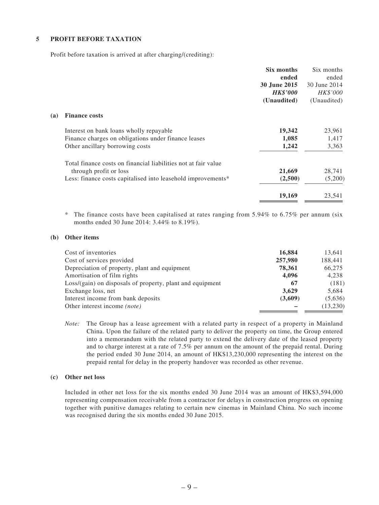### **5 PROFIT BEFORE TAXATION**

Profit before taxation is arrived at after charging/(crediting):

| Six months      | Six months      |
|-----------------|-----------------|
| ended           | ended           |
| 30 June 2015    | 30 June 2014    |
| <b>HK\$'000</b> | <i>HK\$'000</i> |
| (Unaudited)     | (Unaudited)     |
|                 |                 |
| 19,342          | 23,961          |
| 1,085           | 1,417           |
| 1,242           | 3,363           |
|                 |                 |
| 21,669          | 28,741          |
| (2,500)         | (5,200)         |
| 19,169          | 23,541          |
|                 |                 |

 $*$  The finance costs have been capitalised at rates ranging from 5.94% to 6.75% per annum (six months ended 30 June 2014: 3.44% to 8.19%).

#### **(b) Other items**

| Cost of inventories                                       | 16,884  | 13,641   |
|-----------------------------------------------------------|---------|----------|
| Cost of services provided                                 | 257,980 | 188,441  |
| Depreciation of property, plant and equipment             | 78,361  | 66,275   |
| Amortisation of film rights                               | 4,096   | 4,238    |
| Loss/(gain) on disposals of property, plant and equipment | 67      | (181)    |
| Exchange loss, net                                        | 3,629   | 5,684    |
| Interest income from bank deposits                        | (3,609) | (5,636)  |
| Other interest income (note)                              |         | (13,230) |

*Note:* The Group has a lease agreement with a related party in respect of a property in Mainland China. Upon the failure of the related party to deliver the property on time, the Group entered into a memorandum with the related party to extend the delivery date of the leased property and to charge interest at a rate of 7.5% per annum on the amount of the prepaid rental. During the period ended 30 June 2014, an amount of HK\$13,230,000 representing the interest on the prepaid rental for delay in the property handover was recorded as other revenue.

#### **(c) Other net loss**

Included in other net loss for the six months ended 30 June 2014 was an amount of HK\$3,594,000 representing compensation receivable from a contractor for delays in construction progress on opening together with punitive damages relating to certain new cinemas in Mainland China. No such income was recognised during the six months ended 30 June 2015.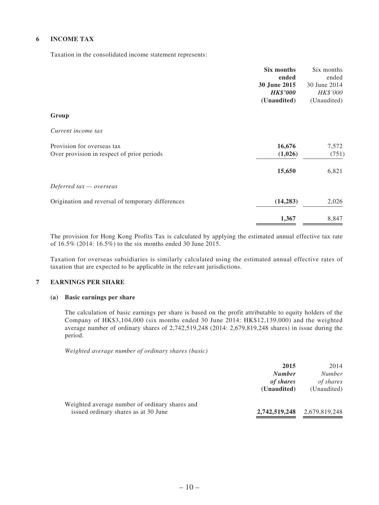### **6 INCOME TAX**

Taxation in the consolidated income statement represents:

| Six months                                                     | Six months   |
|----------------------------------------------------------------|--------------|
| ended                                                          | ended        |
| 30 June 2015                                                   | 30 June 2014 |
| <b>HK\$'000</b>                                                | HK\$'000     |
| (Unaudited)                                                    | (Unaudited)  |
| Group                                                          |              |
| Current income tax                                             |              |
| Provision for overseas tax<br>16,676                           | 7,572        |
| Over provision in respect of prior periods<br>(1,026)          | (751)        |
| 15,650                                                         | 6,821        |
| Deferred $tax -overse$                                         |              |
| (14, 283)<br>Origination and reversal of temporary differences | 2,026        |
| 1,367                                                          | 8,847        |

The provision for Hong Kong Profits Tax is calculated by applying the estimated annual effective tax rate of 16.5% (2014: 16.5%) to the six months ended 30 June 2015.

Taxation for overseas subsidiaries is similarly calculated using the estimated annual effective rates of taxation that are expected to be applicable in the relevant jurisdictions.

### **7 EARNINGS PER SHARE**

#### **(a) Basic earnings per share**

The calculation of basic earnings per share is based on the profit attributable to equity holders of the Company of HK\$3,104,000 (six months ended 30 June 2014: HK\$12,139,000) and the weighted average number of ordinary shares of 2,742,519,248 (2014: 2,679,819,248 shares) in issue during the period.

*Weighted average number of ordinary shares (basic)*

|                                                                                        | 2015<br><b>Number</b><br>of shares<br>(Unaudited) | 2014<br><i>Number</i><br>of shares<br>(Unaudited) |
|----------------------------------------------------------------------------------------|---------------------------------------------------|---------------------------------------------------|
| Weighted average number of ordinary shares and<br>issued ordinary shares as at 30 June | 2,742,519,248                                     | 2,679,819,248                                     |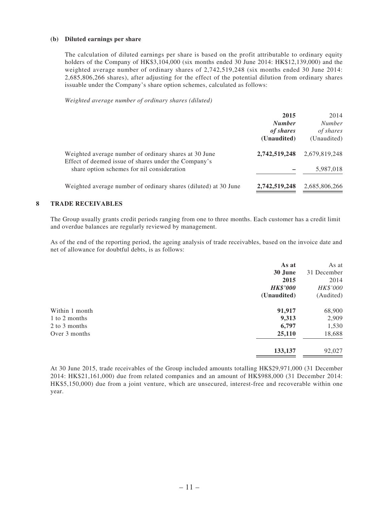#### **(b) Diluted earnings per share**

The calculation of diluted earnings per share is based on the profit attributable to ordinary equity holders of the Company of HK\$3,104,000 (six months ended 30 June 2014: HK\$12,139,000) and the weighted average number of ordinary shares of 2,742,519,248 (six months ended 30 June 2014: 2,685,806,266 shares), after adjusting for the effect of the potential dilution from ordinary shares issuable under the Company's share option schemes, calculated as follows:

*Weighted average number of ordinary shares (diluted)*

|                                                                                                               | 2015<br><b>Number</b><br>of shares<br>(Unaudited) | 2014<br>Number<br>of shares<br>(Unaudited) |
|---------------------------------------------------------------------------------------------------------------|---------------------------------------------------|--------------------------------------------|
| Weighted average number of ordinary shares at 30 June<br>Effect of deemed issue of shares under the Company's | 2,742,519,248                                     | 2,679,819,248                              |
| share option schemes for nil consideration                                                                    |                                                   | 5,987,018                                  |
| Weighted average number of ordinary shares (diluted) at 30 June                                               | 2,742,519,248                                     | 2,685,806,266                              |

#### **8 TRADE RECEIVABLES**

The Group usually grants credit periods ranging from one to three months. Each customer has a credit limit and overdue balances are regularly reviewed by management.

As of the end of the reporting period, the ageing analysis of trade receivables, based on the invoice date and net of allowance for doubtful debts, is as follows:

| As at           | As at       |
|-----------------|-------------|
| 30 June         | 31 December |
| 2015            | 2014        |
| <b>HK\$'000</b> | HK\$'000    |
| (Unaudited)     | (Audited)   |
| 91,917          | 68,900      |
| 9,313           | 2,909       |
| 6,797           | 1,530       |
| 25,110          | 18,688      |
| 133,137         | 92,027      |
|                 |             |

At 30 June 2015, trade receivables of the Group included amounts totalling HK\$29,971,000 (31 December 2014: HK\$21,161,000) due from related companies and an amount of HK\$988,000 (31 December 2014: HK\$5,150,000) due from a joint venture, which are unsecured, interest-free and recoverable within one year.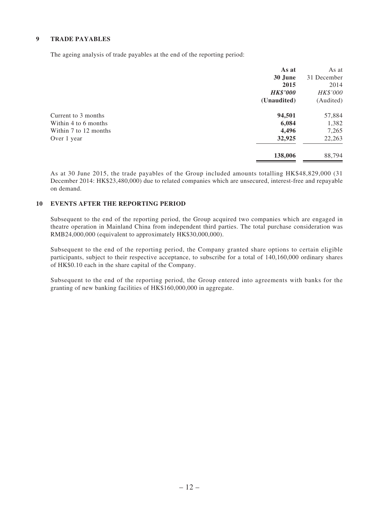### **9 TRADE PAYABLES**

The ageing analysis of trade payables at the end of the reporting period:

|                       | As at           | As at       |
|-----------------------|-----------------|-------------|
|                       | 30 June         | 31 December |
|                       | 2015            | 2014        |
|                       | <b>HK\$'000</b> | HK\$'000    |
|                       | (Unaudited)     | (Audited)   |
| Current to 3 months   | 94,501          | 57,884      |
| Within 4 to 6 months  | 6,084           | 1,382       |
| Within 7 to 12 months | 4,496           | 7,265       |
| Over 1 year           | 32,925          | 22,263      |
|                       | 138,006         | 88,794      |
|                       |                 |             |

As at 30 June 2015, the trade payables of the Group included amounts totalling HK\$48,829,000 (31 December 2014: HK\$23,480,000) due to related companies which are unsecured, interest-free and repayable on demand.

#### **10 EVENTS AFTER THE REPORTING PERIOD**

Subsequent to the end of the reporting period, the Group acquired two companies which are engaged in theatre operation in Mainland China from independent third parties. The total purchase consideration was RMB24,000,000 (equivalent to approximately HK\$30,000,000).

Subsequent to the end of the reporting period, the Company granted share options to certain eligible participants, subject to their respective acceptance, to subscribe for a total of 140,160,000 ordinary shares of HK\$0.10 each in the share capital of the Company.

Subsequent to the end of the reporting period, the Group entered into agreements with banks for the granting of new banking facilities of HK\$160,000,000 in aggregate.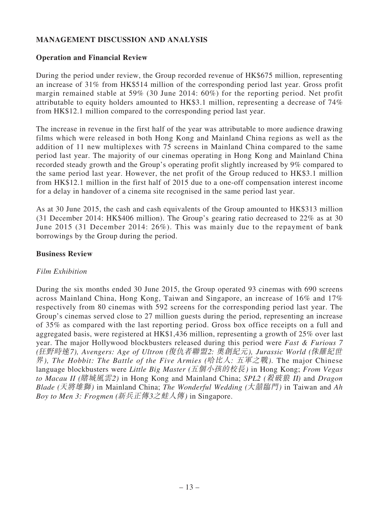# **MANAGEMENT DISCUSSION AND ANALYSIS**

### **Operation and Financial Review**

During the period under review, the Group recorded revenue of HK\$675 million, representing an increase of 31% from HK\$514 million of the corresponding period last year. Gross profit margin remained stable at 59% (30 June 2014: 60%) for the reporting period. Net profit attributable to equity holders amounted to HK\$3.1 million, representing a decrease of 74% from HK\$12.1 million compared to the corresponding period last year.

The increase in revenue in the first half of the year was attributable to more audience drawing films which were released in both Hong Kong and Mainland China regions as well as the addition of 11 new multiplexes with 75 screens in Mainland China compared to the same period last year. The majority of our cinemas operating in Hong Kong and Mainland China recorded steady growth and the Group's operating profit slightly increased by 9% compared to the same period last year. However, the net profit of the Group reduced to HK\$3.1 million from HK\$12.1 million in the first half of 2015 due to a one-off compensation interest income for a delay in handover of a cinema site recognised in the same period last year.

As at 30 June 2015, the cash and cash equivalents of the Group amounted to HK\$313 million (31 December 2014: HK\$406 million). The Group's gearing ratio decreased to 22% as at 30 June 2015 (31 December 2014: 26%). This was mainly due to the repayment of bank borrowings by the Group during the period.

## **Business Review**

# *Film Exhibition*

During the six months ended 30 June 2015, the Group operated 93 cinemas with 690 screens across Mainland China, Hong Kong, Taiwan and Singapore, an increase of 16% and 17% respectively from 80 cinemas with 592 screens for the corresponding period last year. The Group's cinemas served close to 27 million guests during the period, representing an increase of 35% as compared with the last reporting period. Gross box office receipts on a full and aggregated basis, were registered at HK\$1,436 million, representing a growth of 25% over last year. The major Hollywood blockbusters released during this period were *Fast & Furious 7 (*狂野時速*7), Avengers: Age of Ultron (*復仇者聯盟2: 奧創紀元*), Jurassic World (*侏羅紀世 界*), The Hobbit: The Battle of the Five Armies (*哈比人: 五軍之戰*).* The major Chinese language blockbusters were *Little Big Master (*五個小孩的校長*)* in Hong Kong; *From Vegas to Macau II (*賭城風雲2*)* in Hong Kong and Mainland China; *SPL2 (*殺破狼 II*)* and *Dragon Blade (*天將雄獅*)* in Mainland China; *The Wonderful Wedding (*大囍臨門*)* in Taiwan and *Ah Boy to Men 3: Frogmen (*新兵正傳3之蛙人傳*)* in Singapore.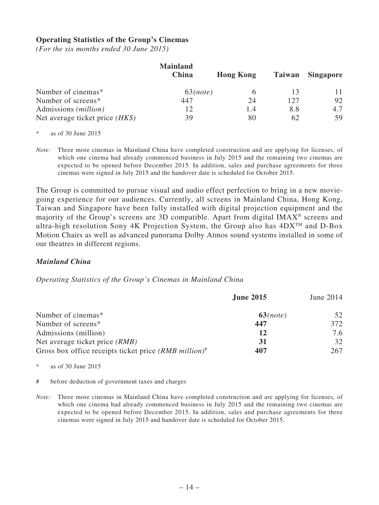### **Operating Statistics of the Group's Cinemas**

*(For the six months ended 30 June 2015)*

|                                   | <b>Mainland</b><br>China | <b>Hong Kong</b> | Taiwan | <b>Singapore</b> |
|-----------------------------------|--------------------------|------------------|--------|------------------|
| Number of cinemas*                | 63 <i>(note)</i>         |                  |        |                  |
| Number of screens*                | 447                      | 24               | 127    | 92               |
| Admissions ( <i>million</i> )     | 12                       | 1.4              | 8.8    | 4.7              |
| Net average ticket price $(HK\$ ) | 39                       | 80               | 62     | 59               |

as of  $30$  June  $2015$ 

*Note:* Three more cinemas in Mainland China have completed construction and are applying for licenses, of which one cinema had already commenced business in July 2015 and the remaining two cinemas are expected to be opened before December 2015. In addition, sales and purchase agreements for three cinemas were signed in July 2015 and the handover date is scheduled for October 2015.

The Group is committed to pursue visual and audio effect perfection to bring in a new moviegoing experience for our audiences. Currently, all screens in Mainland China, Hong Kong, Taiwan and Singapore have been fully installed with digital projection equipment and the majority of the Group's screens are 3D compatible. Apart from digital IMAX® screens and ultra-high resolution Sony 4K Projection System, the Group also has  $4DX^{TM}$  and D-Box Motion Chairs as well as advanced panorama Dolby Atmos sound systems installed in some of our theatres in different regions.

### *Mainland China*

### *Operating Statistics of the Group's Cinemas in Mainland China*

|                                                                     | <b>June 2015</b> | June 2014 |
|---------------------------------------------------------------------|------------------|-----------|
| Number of cinemas*                                                  | $63$ (note)      | 52        |
| Number of screens*                                                  | 447              | 372       |
| Admissions (million)                                                | 12               | 7.6       |
| Net average ticket price <i>(RMB)</i>                               | 31               | 32        |
| Gross box office receipts ticket price $(RMB$ million) <sup>#</sup> | 407              | 267       |

 $*$  as of 30 June 2015

# before deduction of government taxes and charges

*Note:* Three more cinemas in Mainland China have completed construction and are applying for licenses, of which one cinema had already commenced business in July 2015 and the remaining two cinemas are expected to be opened before December 2015. In addition, sales and purchase agreements for three cinemas were signed in July 2015 and handover date is scheduled for October 2015.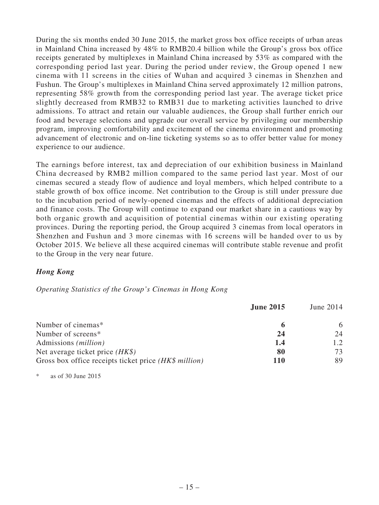During the six months ended 30 June 2015, the market gross box office receipts of urban areas in Mainland China increased by 48% to RMB20.4 billion while the Group's gross box office receipts generated by multiplexes in Mainland China increased by 53% as compared with the corresponding period last year. During the period under review, the Group opened 1 new cinema with 11 screens in the cities of Wuhan and acquired 3 cinemas in Shenzhen and Fushun. The Group's multiplexes in Mainland China served approximately 12 million patrons, representing 58% growth from the corresponding period last year. The average ticket price slightly decreased from RMB32 to RMB31 due to marketing activities launched to drive admissions. To attract and retain our valuable audiences, the Group shall further enrich our food and beverage selections and upgrade our overall service by privileging our membership program, improving comfortability and excitement of the cinema environment and promoting advancement of electronic and on-line ticketing systems so as to offer better value for money experience to our audience.

The earnings before interest, tax and depreciation of our exhibition business in Mainland China decreased by RMB2 million compared to the same period last year. Most of our cinemas secured a steady flow of audience and loyal members, which helped contribute to a stable growth of box office income. Net contribution to the Group is still under pressure due to the incubation period of newly-opened cinemas and the effects of additional depreciation and finance costs. The Group will continue to expand our market share in a cautious way by both organic growth and acquisition of potential cinemas within our existing operating provinces. During the reporting period, the Group acquired 3 cinemas from local operators in Shenzhen and Fushun and 3 more cinemas with 16 screens will be handed over to us by October 2015. We believe all these acquired cinemas will contribute stable revenue and profit to the Group in the very near future.

# *Hong Kong*

### *Operating Statistics of the Group's Cinemas in Hong Kong*

|                                                       | <b>June 2015</b> | June 2014 |
|-------------------------------------------------------|------------------|-----------|
| Number of cinemas*                                    | 6                | 6         |
| Number of screens*                                    | 24               | 24        |
| Admissions ( <i>million</i> )                         | 1.4              | 1.2       |
| Net average ticket price $(HK\$ )                     | 80               | 73        |
| Gross box office receipts ticket price (HK\$ million) | 110              | 89        |

as of  $30$  June  $2015$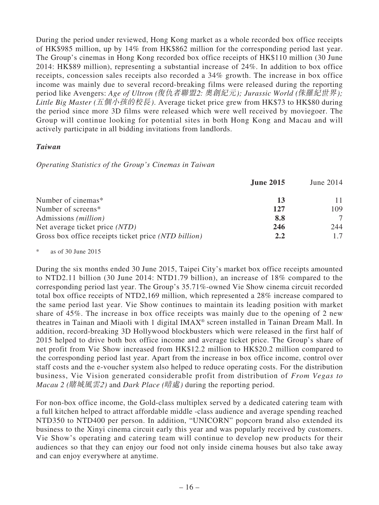During the period under reviewed, Hong Kong market as a whole recorded box office receipts of HK\$985 million, up by 14% from HK\$862 million for the corresponding period last year. The Group's cinemas in Hong Kong recorded box office receipts of HK\$110 million (30 June 2014: HK\$89 million), representing a substantial increase of 24%. In addition to box office receipts, concession sales receipts also recorded a 34% growth. The increase in box office income was mainly due to several record-breaking films were released during the reporting period like Avengers: *Age of Ultron (*復仇者聯盟2: 奧創紀元*); Jurassic World (*侏羅紀世界*); Little Big Master (*五個小孩的校長*)*. Average ticket price grew from HK\$73 to HK\$80 during the period since more 3D films were released which were well received by moviegoer. The Group will continue looking for potential sites in both Hong Kong and Macau and will actively participate in all bidding invitations from landlords.

### *Taiwan*

*Operating Statistics of the Group's Cinemas in Taiwan*

|                                                      | <b>June 2015</b> | June 2014 |
|------------------------------------------------------|------------------|-----------|
| Number of cinemas*                                   | 13               |           |
| Number of screens*                                   | 127              | 109       |
| Admissions ( <i>million</i> )                        | 8.8              |           |
| Net average ticket price (NTD)                       | 246              | 244       |
| Gross box office receipts ticket price (NTD billion) | 2.2              | 1.7       |

as of 30 June  $2015$ 

During the six months ended 30 June 2015, Taipei City's market box office receipts amounted to NTD2.11 billion (30 June 2014: NTD1.79 billion), an increase of 18% compared to the corresponding period last year. The Group's 35.71%-owned Vie Show cinema circuit recorded total box office receipts of NTD2,169 million, which represented a 28% increase compared to the same period last year. Vie Show continues to maintain its leading position with market share of 45%. The increase in box office receipts was mainly due to the opening of 2 new theatres in Tainan and Miaoli with 1 digital IMAX® screen installed in Tainan Dream Mall. In addition, record-breaking 3D Hollywood blockbusters which were released in the first half of 2015 helped to drive both box office income and average ticket price. The Group's share of net profit from Vie Show increased from HK\$12.2 million to HK\$20.2 million compared to the corresponding period last year. Apart from the increase in box office income, control over staff costs and the e-voucher system also helped to reduce operating costs. For the distribution business, Vie Vision generated considerable profit from distribution of *From Vegas to Macau 2 (*賭城風雲*2)* and *Dark Place (*暗處*)* during the reporting period.

For non-box office income, the Gold-class multiplex served by a dedicated catering team with a full kitchen helped to attract affordable middle -class audience and average spending reached NTD350 to NTD400 per person. In addition, "UNICORN" popcorn brand also extended its business to the Xinyi cinema circuit early this year and was popularly received by customers. Vie Show's operating and catering team will continue to develop new products for their audiences so that they can enjoy our food not only inside cinema houses but also take away and can enjoy everywhere at anytime.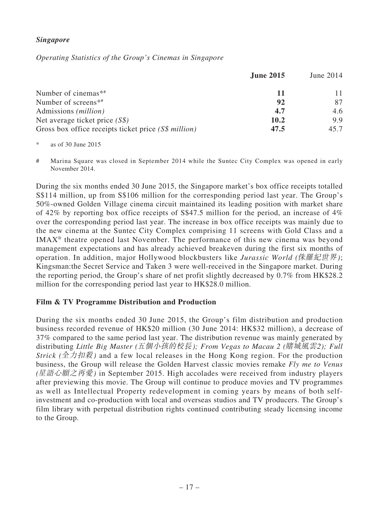# *Singapore*

*Operating Statistics of the Group's Cinemas in Singapore*

|                                                      | <b>June 2015</b> | June 2014 |
|------------------------------------------------------|------------------|-----------|
| Number of cinemas**                                  | 11               |           |
| Number of screens <sup>*#</sup>                      | 92               | 87        |
| Admissions ( <i>million</i> )                        | 4.7              | 4.6       |
| Net average ticket price $(S\$ )                     | 10.2             | 9.9       |
| Gross box office receipts ticket price (S\$ million) | 47.5             | 45.7      |

 $*$  as of 30 June 2015

# Marina Square was closed in September 2014 while the Suntec City Complex was opened in early November 2014.

During the six months ended 30 June 2015, the Singapore market's box office receipts totalled S\$114 million, up from S\$106 million for the corresponding period last year. The Group's 50%-owned Golden Village cinema circuit maintained its leading position with market share of 42% by reporting box office receipts of S\$47.5 million for the period, an increase of 4% over the corresponding period last year. The increase in box office receipts was mainly due to the new cinema at the Suntec City Complex comprising 11 screens with Gold Class and a IMAX® theatre opened last November. The performance of this new cinema was beyond management expectations and has already achieved breakeven during the first six months of operation. In addition, major Hollywood blockbusters like *Jurassic World (*侏羅紀世界*)*; Kingsman:the Secret Service and Taken 3 were well-received in the Singapore market. During the reporting period, the Group's share of net profit slightly decreased by 0.7% from HK\$28.2 million for the corresponding period last year to HK\$28.0 million.

# **Film & TV Programme Distribution and Production**

During the six months ended 30 June 2015, the Group's film distribution and production business recorded revenue of HK\$20 million (30 June 2014: HK\$32 million), a decrease of 37% compared to the same period last year. The distribution revenue was mainly generated by distributing *Little Big Master (*五個小孩的校長*); From Vegas to Macau 2 (*賭城風雲2*); Full Strick (*全力扣殺*)* and a few local releases in the Hong Kong region. For the production business, the Group will release the Golden Harvest classic movies remake *Fly me to Venus (*星語心願之再愛*)* in September 2015. High accolades were received from industry players after previewing this movie. The Group will continue to produce movies and TV programmes as well as Intellectual Property redevelopment in coming years by means of both selfinvestment and co-production with local and overseas studios and TV producers. The Group's film library with perpetual distribution rights continued contributing steady licensing income to the Group.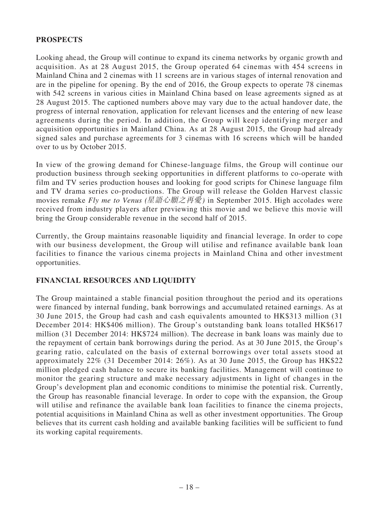# **PROSPECTS**

Looking ahead, the Group will continue to expand its cinema networks by organic growth and acquisition. As at 28 August 2015, the Group operated 64 cinemas with 454 screens in Mainland China and 2 cinemas with 11 screens are in various stages of internal renovation and are in the pipeline for opening. By the end of 2016, the Group expects to operate 78 cinemas with 542 screens in various cities in Mainland China based on lease agreements signed as at 28 August 2015. The captioned numbers above may vary due to the actual handover date, the progress of internal renovation, application for relevant licenses and the entering of new lease agreements during the period. In addition, the Group will keep identifying merger and acquisition opportunities in Mainland China. As at 28 August 2015, the Group had already signed sales and purchase agreements for 3 cinemas with 16 screens which will be handed over to us by October 2015.

In view of the growing demand for Chinese-language films, the Group will continue our production business through seeking opportunities in different platforms to co-operate with film and TV series production houses and looking for good scripts for Chinese language film and TV drama series co-productions. The Group will release the Golden Harvest classic movies remake *Fly me to Venus (*星語心願之再愛*)* in September 2015. High accolades were received from industry players after previewing this movie and we believe this movie will bring the Group considerable revenue in the second half of 2015.

Currently, the Group maintains reasonable liquidity and financial leverage. In order to cope with our business development, the Group will utilise and refinance available bank loan facilities to finance the various cinema projects in Mainland China and other investment opportunities.

# **FINANCIAL RESOURCES AND LIQUIDITY**

The Group maintained a stable financial position throughout the period and its operations were financed by internal funding, bank borrowings and accumulated retained earnings. As at 30 June 2015, the Group had cash and cash equivalents amounted to HK\$313 million (31 December 2014: HK\$406 million). The Group's outstanding bank loans totalled HK\$617 million (31 December 2014: HK\$724 million). The decrease in bank loans was mainly due to the repayment of certain bank borrowings during the period. As at 30 June 2015, the Group's gearing ratio, calculated on the basis of external borrowings over total assets stood at approximately 22% (31 December 2014: 26%). As at 30 June 2015, the Group has HK\$22 million pledged cash balance to secure its banking facilities. Management will continue to monitor the gearing structure and make necessary adjustments in light of changes in the Group's development plan and economic conditions to minimise the potential risk. Currently, the Group has reasonable financial leverage. In order to cope with the expansion, the Group will utilise and refinance the available bank loan facilities to finance the cinema projects, potential acquisitions in Mainland China as well as other investment opportunities. The Group believes that its current cash holding and available banking facilities will be sufficient to fund its working capital requirements.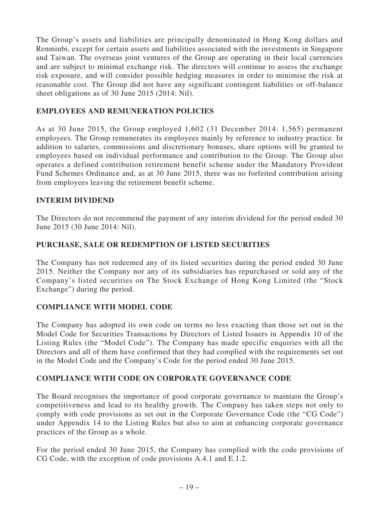The Group's assets and liabilities are principally denominated in Hong Kong dollars and Renminbi, except for certain assets and liabilities associated with the investments in Singapore and Taiwan. The overseas joint ventures of the Group are operating in their local currencies and are subject to minimal exchange risk. The directors will continue to assess the exchange risk exposure, and will consider possible hedging measures in order to minimise the risk at reasonable cost. The Group did not have any significant contingent liabilities or off-balance sheet obligations as of 30 June 2015 (2014: Nil).

# **EMPLOYEES AND REMUNERATION POLICIES**

As at 30 June 2015, the Group employed 1,602 (31 December 2014: 1,565) permanent employees. The Group remunerates its employees mainly by reference to industry practice. In addition to salaries, commissions and discretionary bonuses, share options will be granted to employees based on individual performance and contribution to the Group. The Group also operates a defined contribution retirement benefit scheme under the Mandatory Provident Fund Schemes Ordinance and, as at 30 June 2015, there was no forfeited contribution arising from employees leaving the retirement benefit scheme.

### **INTERIM DIVIDEND**

The Directors do not recommend the payment of any interim dividend for the period ended 30 June 2015 (30 June 2014: Nil).

# **PURCHASE, SALE OR REDEMPTION OF LISTED SECURITIES**

The Company has not redeemed any of its listed securities during the period ended 30 June 2015. Neither the Company nor any of its subsidiaries has repurchased or sold any of the Company's listed securities on The Stock Exchange of Hong Kong Limited (the "Stock Exchange") during the period.

# **COMPLIANCE WITH MODEL CODE**

The Company has adopted its own code on terms no less exacting than those set out in the Model Code for Securities Transactions by Directors of Listed Issuers in Appendix 10 of the Listing Rules (the "Model Code"). The Company has made specific enquiries with all the Directors and all of them have confirmed that they had complied with the requirements set out in the Model Code and the Company's Code for the period ended 30 June 2015.

# **COMPLIANCE WITH CODE ON CORPORATE GOVERNANCE CODE**

The Board recognises the importance of good corporate governance to maintain the Group's competitiveness and lead to its healthy growth. The Company has taken steps not only to comply with code provisions as set out in the Corporate Governance Code (the "CG Code") under Appendix 14 to the Listing Rules but also to aim at enhancing corporate governance practices of the Group as a whole.

For the period ended 30 June 2015, the Company has complied with the code provisions of CG Code, with the exception of code provisions A.4.1 and E.1.2.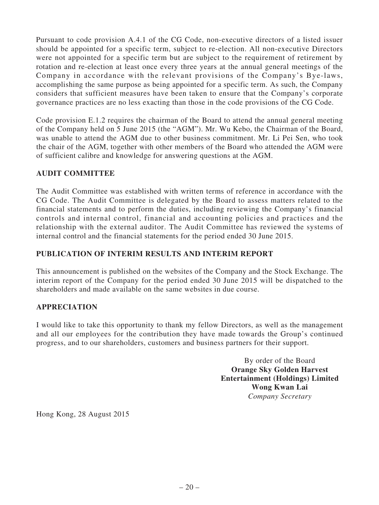Pursuant to code provision A.4.1 of the CG Code, non-executive directors of a listed issuer should be appointed for a specific term, subject to re-election. All non-executive Directors were not appointed for a specific term but are subject to the requirement of retirement by rotation and re-election at least once every three years at the annual general meetings of the Company in accordance with the relevant provisions of the Company's Bye-laws, accomplishing the same purpose as being appointed for a specific term. As such, the Company considers that sufficient measures have been taken to ensure that the Company's corporate governance practices are no less exacting than those in the code provisions of the CG Code.

Code provision E.1.2 requires the chairman of the Board to attend the annual general meeting of the Company held on 5 June 2015 (the "AGM"). Mr. Wu Kebo, the Chairman of the Board, was unable to attend the AGM due to other business commitment. Mr. Li Pei Sen, who took the chair of the AGM, together with other members of the Board who attended the AGM were of sufficient calibre and knowledge for answering questions at the AGM.

# **AUDIT COMMITTEE**

The Audit Committee was established with written terms of reference in accordance with the CG Code. The Audit Committee is delegated by the Board to assess matters related to the financial statements and to perform the duties, including reviewing the Company's financial controls and internal control, financial and accounting policies and practices and the relationship with the external auditor. The Audit Committee has reviewed the systems of internal control and the financial statements for the period ended 30 June 2015.

# **PUBLICATION OF INTERIM RESULTS AND INTERIM REPORT**

This announcement is published on the websites of the Company and the Stock Exchange. The interim report of the Company for the period ended 30 June 2015 will be dispatched to the shareholders and made available on the same websites in due course.

# **APPRECIATION**

I would like to take this opportunity to thank my fellow Directors, as well as the management and all our employees for the contribution they have made towards the Group's continued progress, and to our shareholders, customers and business partners for their support.

> By order of the Board **Orange Sky Golden Harvest Entertainment (Holdings) Limited Wong Kwan Lai** *Company Secretary*

Hong Kong, 28 August 2015